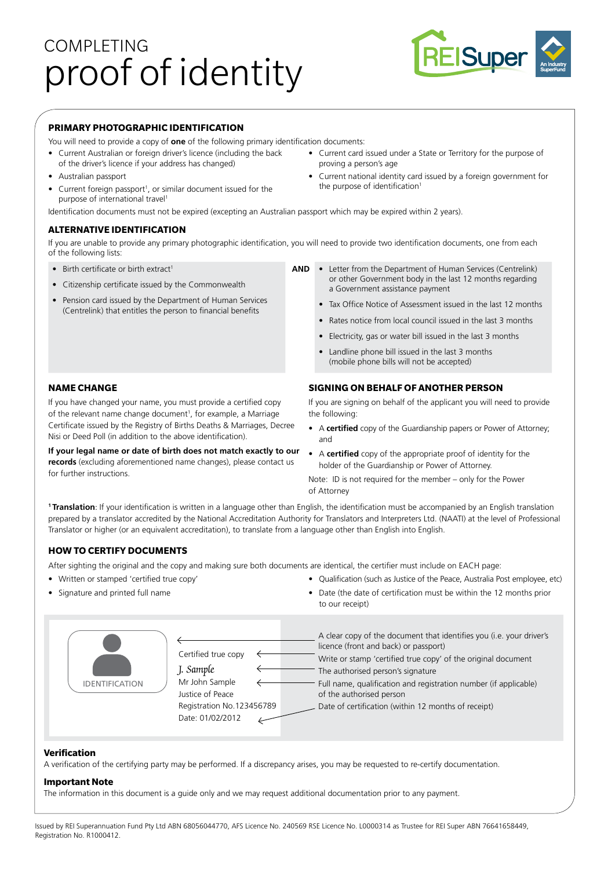# COMPLETING proof of identity



## **PRIMARY PHOTOGRAPHIC IDENTIFICATION**

- You will need to provide a copy of **one** of the following primary identification documents:
- Current Australian or foreign driver's licence (including the back of the driver's licence if your address has changed)
- Australian passport
- $\bullet$  Current foreign passport<sup>1</sup>, or similar document issued for the purpose of international travel<sup>1</sup>
- Current card issued under a State or Territory for the purpose of proving a person's age
- Current national identity card issued by a foreign government for the purpose of identification<sup>1</sup>

Identification documents must not be expired (excepting an Australian passport which may be expired within 2 years).

## **ALTERNATIVE IDENTIFICATION**

If you are unable to provide any primary photographic identification, you will need to provide two identification documents, one from each of the following lists:

- Birth certificate or birth extract<sup>1</sup>
- Citizenship certificate issued by the Commonwealth
- Pension card issued by the Department of Human Services (Centrelink) that entitles the person to financial benefits
- **AND** Letter from the Department of Human Services (Centrelink) or other Government body in the last 12 months regarding a Government assistance payment
	- Tax Office Notice of Assessment issued in the last 12 months
	- Rates notice from local council issued in the last 3 months
	- Electricity, gas or water bill issued in the last 3 months
	- Landline phone bill issued in the last 3 months (mobile phone bills will not be accepted)

## **SIGNING ON BEHALF OF ANOTHER PERSON**

If you are signing on behalf of the applicant you will need to provide the following:

- A **certified** copy of the Guardianship papers or Power of Attorney; and
- A **certified** copy of the appropriate proof of identity for the holder of the Guardianship or Power of Attorney.

Note: ID is not required for the member – only for the Power of Attorney

**1 Translation**: If your identification is written in a language other than English, the identification must be accompanied by an English translation prepared by a translator accredited by the National Accreditation Authority for Translators and Interpreters Ltd. (NAATI) at the level of Professional Translator or higher (or an equivalent accreditation), to translate from a language other than English into English.

## **HOW TO CERTIFY DOCUMENTS**

After sighting the original and the copy and making sure both documents are identical, the certifier must include on EACH page:

- Written or stamped 'certified true copy'
- Signature and printed full name
- Qualification (such as Justice of the Peace, Australia Post employee, etc)
- Date (the date of certification must be within the 12 months prior to our receipt)

| <b>IDENTIFICATION</b> | Certified true copy<br>J. Sample<br>Mr John Sample<br>Justice of Peace<br>Registration No.123456789<br>Date: 01/02/2012 |  | A clear copy of the document that identifies you (i.e. your driver's<br>licence (front and back) or passport)<br>Write or stamp 'certified true copy' of the original document<br>The authorised person's signature<br>Full name, qualification and registration number (if applicable)<br>of the authorised person<br>Date of certification (within 12 months of receipt) |
|-----------------------|-------------------------------------------------------------------------------------------------------------------------|--|----------------------------------------------------------------------------------------------------------------------------------------------------------------------------------------------------------------------------------------------------------------------------------------------------------------------------------------------------------------------------|
|-----------------------|-------------------------------------------------------------------------------------------------------------------------|--|----------------------------------------------------------------------------------------------------------------------------------------------------------------------------------------------------------------------------------------------------------------------------------------------------------------------------------------------------------------------------|

#### **Verification**

A verification of the certifying party may be performed. If a discrepancy arises, you may be requested to re-certify documentation.

#### **Important Note**

The information in this document is a guide only and we may request additional documentation prior to any payment.

Issued by REI Superannuation Fund Pty Ltd ABN 68056044770, AFS Licence No. 240569 RSE Licence No. L0000314 as Trustee for REI Super ABN 76641658449, Registration No. R1000412.

### **NAME CHANGE**

If you have changed your name, you must provide a certified copy of the relevant name change document<sup>1</sup>, for example, a Marriage Certificate issued by the Registry of Births Deaths & Marriages, Decree Nisi or Deed Poll (in addition to the above identification).

**If your legal name or date of birth does not match exactly to our records** (excluding aforementioned name changes), please contact us for further instructions.